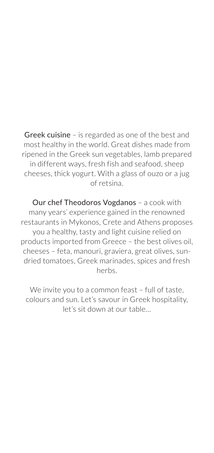Greek cuisine – is regarded as one of the best and most healthy in the world. Great dishes made from ripened in the Greek sun vegetables, lamb prepared in different ways, fresh fish and seafood, sheep cheeses, thick yogurt. With a glass of ouzo or a jug of retsina.

Our chef Theodoros Vogdanos – a cook with many years' experience gained in the renowned restaurants in Mykonos, Crete and Athens proposes you a healthy, tasty and light cuisine relied on products imported from Greece – the best olives oil, cheeses – feta, manouri, graviera, great olives, sundried tomatoes, Greek marinades, spices and fresh herbs.

We invite you to a common feast - full of taste, colours and sun. Let's savour in Greek hospitality, let's sit down at our table…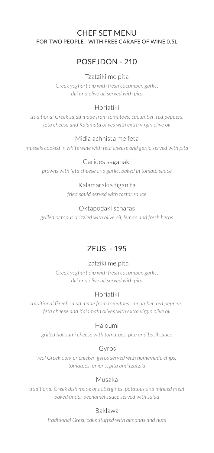## CHEF SET MENU for two people - with free carafe of wine 0.5l

# POSEJDON - 210

## Tzatziki me pita

*Greek yoghurt dip with fresh cucumber, garlic, dill and olive oil served with pita* 

# Horiatiki

*traditional Greek salad made from tomatoes, cucumber, red peppers, feta cheese and Kalamata olives with extra virgin olive oil* 

# Midia achnista me feta

*mussels cooked in white wine with feta cheese and garlic served with pita*

## Garides saganaki

*prawns with feta cheese and garlic, baked in tomato sauce* 

# Kalamarakia tiganita

*fried squid served with tartar sauce* 

## Oktapodaki scharas

*grilled octopus drizzled with olive oil, lemon and fresh herbs* 

# ZEUS - 195

# Tzatziki me pita

*Greek yoghurt dip with fresh cucumber, garlic, dill and olive oil served with pita* 

# Horiatiki

*traditional Greek salad made from tomatoes, cucumber, red peppers, feta cheese and Kalamata olives with extra virgin olive oil* 

## Haloumi

*grilled halloumi cheese with tomatoes, pita and basil sauce* 

## Gyros

*real Greek pork or chicken gyros served with homemade chips, tomatoes, onions, pita and tzatziki* 

# Musaka

*traditional Greek dish made of aubergines, potatoes and minced meat baked under béchamel sauce served with salad* 

## Baklawa

*traditional Greek cake stuffed with almonds and nuts*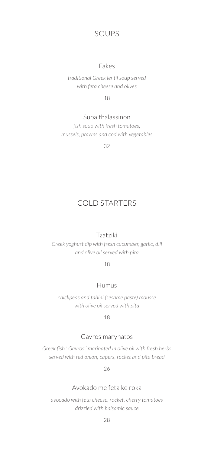# Soups

#### Fakes

*traditional Greek lentil soup served with feta cheese and olives* 

18

## Supa thalassinon

*fish soup with fresh tomatoes, mussels, prawns and cod with vegetables* 

32

# COLD STARTERS

### Tzatziki

*Greek yoghurt dip with fresh cucumber, garlic, dill and olive oil served with pita* 

18

#### Humus

*chickpeas and tahini (sesame paste) mousse with olive oil served with pita* 

18

#### Gavros marynatos

*Greek fish ''Gavros'' marinated in olive oil with fresh herbs served with red onion, capers, rocket and pita bread* 

26

## Avokado me feta ke roka

*avocado with feta cheese, rocket, cherry tomatoes drizzled with balsamic sauce*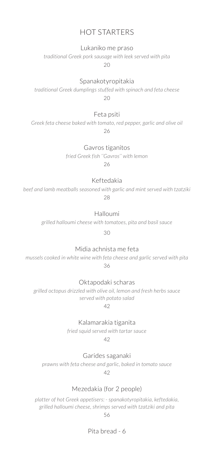# Hot Starters

Lukaniko me praso

*traditional Greek pork sausage with leek served with pita* 

 $20$ 

Spanakotyropitakia

*traditional Greek dumplings stuffed with spinach and feta cheese*   $20$ 

#### Feta psiti

*Greek feta cheese baked with tomato, red pepper, garlic and olive oil*  26

Gavros tiganitos

*fried Greek fish ''Gavros'' with lemon*  26

Keftedakia

*beef and lamb meatballs seasoned with garlic and mint served with tzatziki*  28

Halloumi

*grilled halloumi cheese with tomatoes, pita and basil sauce* 

30

Midia achnista me feta

*mussels cooked in white wine with feta cheese and garlic served with pita*  36

Oktapodaki scharas

*grilled octopus drizzled with olive oil, lemon and fresh herbs sauce served with potato salad* 

42

Kalamarakia tiganita

*fried squid served with tartar sauce*  42

Garides saganaki

*prawns with feta cheese and garlic, baked in tomato sauce*  42

Mezedakia (for 2 people)

*platter of hot Greek appetisers: - spanakotyropitakia, keftedakia, grilled halloumi cheese, shrimps served with tzatziki and pita* 

56

Pita bread - 6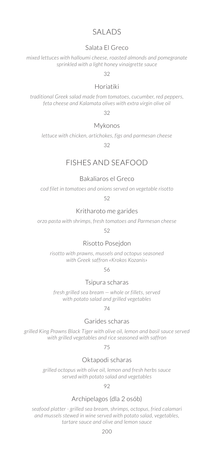# SAI ADS

## Salata El Greco

*mixed lettuces with halloumi cheese, roasted almonds and pomegranate sprinkled with a light honey vinaigrette sauce* 

32

## Horiatiki

*traditional Greek salad made from tomatoes, cucumber, red peppers, feta cheese and Kalamata olives with extra virgin olive oil* 

32

#### Mykonos

*lettuce with chicken, artichokes, figs and parmesan cheese* 

32

# Fishes and Seafood

#### Bakaliaros el Greco

*cod filet in tomatoes and onions served on vegetable risotto* 

52

## Kritharoto me garides

*orzo pasta with shrimps, fresh tomatoes and Parmesan cheese* 

52

#### Risotto Posejdon

*risotto with prawns, mussels and octopus seasoned with Greek saffron «Krokos Kozanis»* 

56

#### Tsipura scharas

*fresh grilled sea bream — whole or fillets, served with potato salad and grilled vegetables* 

74

## Garides scharas

*grilled King Prawns Black Tiger with olive oil, lemon and basil sauce served with grilled vegetables and rice seasoned with saffron* 

75

#### Oktapodi scharas

*grilled octopus with olive oil, lemon and fresh herbs sauce served with potato salad and vegetables* 

92

## Archipelagos (dla 2 osób)

*seafood platter - grilled sea bream, shrimps, octopus, fried calamari and mussels stewed in wine served with potato salad, vegetables, tartare sauce and olive and lemon sauce*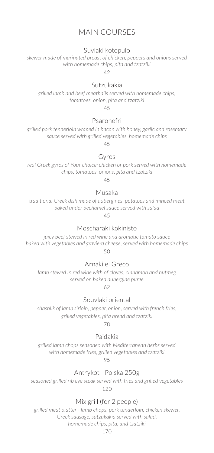# MAIN Courses

## Suvlaki kotopulo

*skewer made of marinated breast of chicken, peppers and onions served with homemade chips, pita and tzatziki* 

42

#### Sutzukakia

*grilled lamb and beef meatballs served with homemade chips, tomatoes, onion, pita and tzatziki* 

45

#### Psaronefri

*grilled pork tenderloin wraped in bacon with honey, garlic and rosemary sauce served with grilled vegetables, homemade chips*

45

#### Gyros

*real Greek gyros of Your choice: chicken or pork served with homemade chips, tomatoes, onions, pita and tzatziki* 

45

#### Musaka

*traditional Greek dish made of aubergines, potatoes and minced meat baked under béchamel sauce served with salad* 

45

#### Moscharaki kokinisto

*juicy beef stewed in red wine and aromatic tomato sauce baked with vegetables and graviera cheese, served with homemade chips* 50

## Arnaki el Greco

*lamb stewed in red wine with of cloves, cinnamon and nutmeg served on baked aubergine puree*

62

#### Souvlaki oriental

*shashlik of lamb sirloin, pepper, onion, served with french fries, grilled vegetables, pita bread and tzatziki*

78

#### Paidakia

*grilled lamb chops seasoned with Mediterranean herbs served with homemade fries, grilled vegetables and tzatziki* 

95

#### Antrykot - Polska 250g

*seasoned grilled rib eye steak served with fries and grilled vegetables*  120

## Mix grill (for 2 people)

*grilled meat platter - lamb chops, pork tenderloin, chicken skewer, Greek sausage, sutzukakia served with salad, homemade chips, pita, and tzatziki*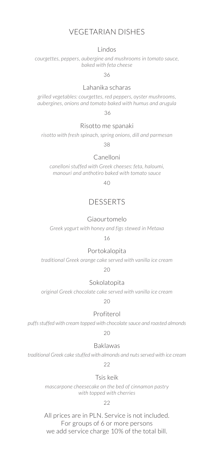# Vegetarian Dishes

#### Lindos

*courgettes, peppers, aubergine and mushrooms in tomato sauce, baked with feta cheese* 

36

## Lahanika scharas

*grilled vegetables: courgettes, red peppers, oyster mushrooms, aubergines, onions and tomato baked with humus and arugula*

36

#### Risotto me spanaki

*risotto with fresh spinach, spring onions, dill and parmesan* 

38

#### Canelloni

*canelloni stuffed with Greek cheeses: feta, haloumi, manouri and anthotiro baked with tomato sauce* 

 $40$ 

# **DESSERTS**

#### Giaourtomelo

*Greek yogurt with honey and figs stewed in Metaxa* 

#### 16

#### Portokalopita

*traditional Greek orange cake served with vanilla ice cream* 

 $20$ 

#### Sokolatopita

*original Greek chocolate cake served with vanilla ice cream* 

20

#### Profiterol

*puffs stuffed with cream topped with chocolate sauce and roasted almonds* 

 $20$ 

#### Baklawas

*traditional Greek cake stuffed with almonds and nuts served with ice cream* 

22

#### Tsis keik

*mascarpone cheesecake on the bed of cinnamon pastry with topped with cherries* 

22

All prices are in PLN. Service is not included. For groups of 6 or more persons we add service charge 10% of the total bill.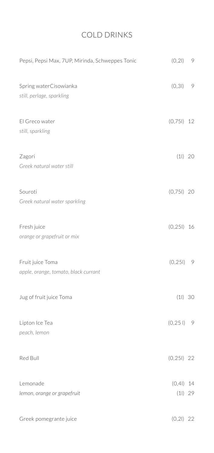# Cold Drinks

| Pepsi, Pepsi Max, 7UP, Mirinda, Schweppes Tonic          | (0, 21)           | 9  |
|----------------------------------------------------------|-------------------|----|
| Spring waterCisowianka<br>still, perlage, sparkling      | (0, 31)           | 9  |
| El Greco water<br>still, sparkling                       | $(0,751)$ 12      |    |
| Zagori<br>Greek natural water still                      | (11) 20           |    |
| Souroti<br>Greek natural water sparkling                 | $(0,751)$ 20      |    |
| Fresh juice<br>orange or grapefruit or mix               | (0, 251)          | 16 |
| Fruit juice Toma<br>apple, orange, tomato, black currant | (0, 251)          | 9  |
| Jug of fruit juice Toma                                  | (11) 30           |    |
| Lipton Ice Tea<br>peach, lemon                           | $(0, 251)$ 9      |    |
| Red Bull                                                 | $(0, 251)$ 22     |    |
| Lemonade<br>lemon, orange or grapefruit                  | (0,41)<br>(11) 29 | 14 |
| Greek pomegrante juice                                   | $(0,21)$ 22       |    |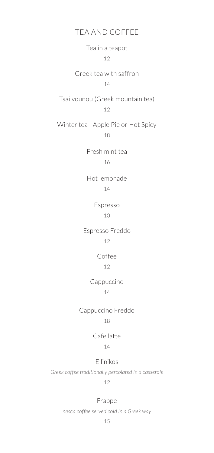## TEA AND COFFEE

Tea in a teapot 12

Greek tea with saffron 14

Tsai vounou (Greek mountain tea)

12

Winter tea - Apple Pie or Hot Spicy 18

> Fresh mint tea 16

> Hot lemonade 14

> > Espresso 10

Espresso Freddo

# 12

Coffee 12

#### Cappuccino

14

# Cappuccino Freddo 18

# Cafe latte

# 14

## Ellinikos

*Greek coffee traditionally percolated in a casserole* 

#### 12

#### Frappe

*nesca coffee served cold in a Greek way*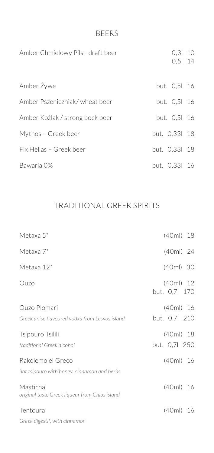# BEERS

| Amber Chmielowy Pils - draft beer | 0,31,10<br>$0,51$ 14 |  |
|-----------------------------------|----------------------|--|
| Amber Żywe                        | but. 0,51 16         |  |
| Amber Pszeniczniak/ wheat beer    | but. 0,51 16         |  |
| Amber Koźlak / strong bock beer   | but. 0,51 16         |  |
| Mythos - Greek beer               | but. 0,331 18        |  |
| Fix Hellas - Greek beer           | but. 0,331 18        |  |
| Bawaria 0%                        | but. 0,33l 16        |  |

# Traditional Greek Spirits

| Metaxa $5^*$                                                     | (40ml) 18                    |
|------------------------------------------------------------------|------------------------------|
| Metaxa $7^*$                                                     | $(40ml)$ 24                  |
| Metaxa 12*                                                       | $(40ml)$ 30                  |
| Ouzo                                                             | $(40ml)$ 12<br>but. 0,7  170 |
| Ouzo Plomari<br>Greek anise flavoured vodka from Lesvos island   | $(40ml)$ 16<br>but. 0,71 210 |
| Tsipouro Tsilili<br>traditional Greek alcohol                    | $(40ml)$ 18<br>but. 0,7l 250 |
| Rakolemo el Greco<br>hot tsipouro with honey, cinnamon and herbs | $(40ml)$ 16                  |
| Masticha<br>original taste Greek liqueur from Chios island       | $(40ml)$ 16                  |
| Tentoura                                                         | $(40ml)$ 16                  |
| Greek digestif, with cinnamon                                    |                              |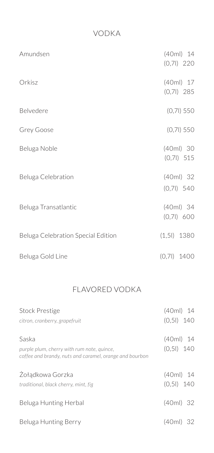# Vodka

| Amundsen                           | $(40ml)$ 14<br>$(0,71)$ 220 |
|------------------------------------|-----------------------------|
| Orkisz                             | (40ml) 17<br>$(0,71)$ 285   |
| Belvedere                          | $(0,71)$ 550                |
| Grey Goose                         | $(0,71)$ 550                |
| Beluga Noble                       | $(40ml)$ 30<br>$(0,71)$ 515 |
| Beluga Celebration                 | (40ml) 32<br>$(0,71)$ 540   |
| Beluga Transatlantic               | $(40ml)$ 34<br>(0,71) 600   |
| Beluga Celebration Special Edition | $(1,5)$ 1380                |
| Beluga Gold Line                   | $(0,71)$ 1400               |

# Flavored Vodka

| <b>Stock Prestige</b>                                                                                 | $(40ml)$ 14  |
|-------------------------------------------------------------------------------------------------------|--------------|
| citron, cranberry, grapefruit                                                                         | $(0,51)$ 140 |
| Saska                                                                                                 | $(40ml)$ 14  |
| purple plum, cherry with rum note, quince,<br>coffee and brandy, nuts and caramel, orange and bourbon | $(0,51)$ 140 |
| Zołądkowa Gorzka                                                                                      | $(40ml)$ 14  |
| traditional, black cherry, mint, fig                                                                  | $(0,51)$ 140 |
| Beluga Hunting Herbal                                                                                 | (40ml) 32    |
| Beluga Hunting Berry                                                                                  | (40ml) 32    |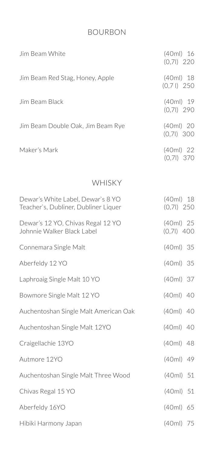# Bourbon

| Jim Beam White                                                            | $(40ml)$ 16<br>$(0,71)$ 220 |
|---------------------------------------------------------------------------|-----------------------------|
| Jim Beam Red Stag, Honey, Apple                                           | $(40ml)$ 18<br>$(0,71)$ 250 |
| Jim Beam Black                                                            | $(40ml)$ 19<br>$(0,71)$ 290 |
| Jim Beam Double Oak, Jim Beam Rye                                         | $(40ml)$ 20<br>$(0,71)$ 300 |
| Maker's Mark                                                              | (40ml) 22<br>$(0,71)$ 370   |
| WHISKY                                                                    |                             |
| Dewar's White Label, Dewar's 8 YO<br>Teacher's, Dubliner, Dubliner Liquer | (40ml) 18<br>$(0,71)$ 250   |
| Dewar's 12 YO, Chivas Regal 12 YO<br>Johnnie Walker Black Label           | (40ml) 25<br>$(0,71)$ 400   |
| Connemara Single Malt                                                     | $(40ml)$ 35                 |
| Aberfeldy 12 YO                                                           | (40ml) 35                   |
| Laphroaig Single Malt 10 YO                                               | $(40ml)$ 37                 |
| Bowmore Single Malt 12 YO                                                 | (40ml) 40                   |
| Auchentoshan Single Malt American Oak                                     | $(40ml)$ 40                 |
| Auchentoshan Single Malt 12YO                                             | (40ml) 40                   |
| Craigellachie 13YO                                                        | $(40ml)$ 48                 |
| Autmore 12YO                                                              | (40ml) 49                   |
| Auchentoshan Single Malt Three Wood                                       | $(40ml)$ 51                 |
| Chivas Regal 15 YO                                                        | $(40ml)$ 51                 |
| Aberfeldy 16YO                                                            | (40ml) 65                   |
| Hibiki Harmony Japan                                                      | (40ml) 75                   |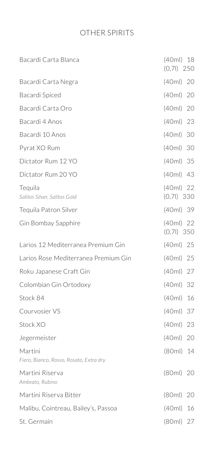# Other Spirits

| Bacardi Carta Blanca                               | $(40ml)$ 18<br>$(0,71)$ 250 |
|----------------------------------------------------|-----------------------------|
| Bacardi Carta Negra                                | $(40ml)$ 20                 |
| Bacardi Spiced                                     | $(40ml)$ 20                 |
| Bacardi Carta Oro                                  | (40ml) 20                   |
| Bacardi 4 Anos                                     | $(40ml)$ 23                 |
| Bacardi 10 Anos                                    | $(40ml)$ 30                 |
| Pyrat XO Rum                                       | $(40ml)$ 30                 |
| Dictator Rum 12 YO                                 | (40ml) 35                   |
| Dictator Rum 20 YO                                 | $(40ml)$ 43                 |
| Tequila<br>Salitos Silver, Salitos Gold            | $(40ml)$ 22<br>$(0,71)$ 330 |
| Tequila Patron Silver                              | (40ml) 39                   |
| Gin Bombay Sapphire                                | $(40ml)$ 22<br>$(0,71)$ 350 |
| Larios 12 Mediterranea Premium Gin                 | (40ml) 25                   |
| Larios Rose Mediterranea Premium Gin               | (40ml) 25                   |
| Roku Japanese Craft Gin                            | (40ml) 27                   |
| Colombian Gin Ortodoxy                             | $(40ml)$ 32                 |
| Stock 84                                           | (40ml)<br>16                |
| Courvosier VS                                      | (40ml)<br>37                |
| Stock XO                                           | (40ml)<br>23                |
| Jegermeister                                       | (40ml)<br>20                |
| Martini<br>Fiero, Bianco, Rosso, Rosato, Extra dry | (80ml)<br>14                |
| Martini Riserva<br>Ambrato, Rubino                 | $(80ml)$ 20                 |
| Martini Riserva Bitter                             | (80ml)<br>20                |
| Malibu, Cointreau, Bailey's, Passoa                | (40ml)<br>16                |
| St. Germain                                        | (80ml) 27                   |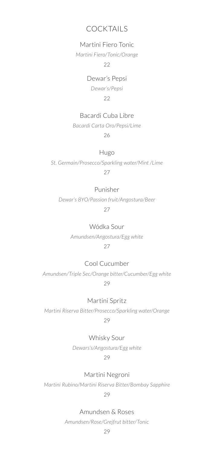# Cocktails

## Martini Fiero Tonic

*Martini Fiero/Tonic/Orange* 

22

## Dewar's Pepsi

*Dewar's/Pepsi* 22

## Bacardi Cuba Libre

*Bacardi Carta Oro/Pepsi/Lime*

26

## Hugo

*St. Germain/Prosecco/Sparkling water/Mint /Lime* 27

## Punisher

*Dewar's 8YO/Passion fruit/Angostura/Beer* 27

Wódka Sour

*Amundsen/Angostura/Egg white* 27

## Cool Cucumber

*Amundsen/Triple Sec/Orange bitter/Cucumber/Egg white* 29

Martini Spritz

*Martini Riserva Bitter/Prosecco/Sparkling water/Orange*

29

## Whisky Sour

*Dewars's/Angostura/Egg white*

29

Martini Negroni

*Martini Rubino/Martini Riserva Bitter/Bombay Sapphire*

29

Amundsen & Roses

*Amundsen/Rose/Grejfrut bitter/Tonic*